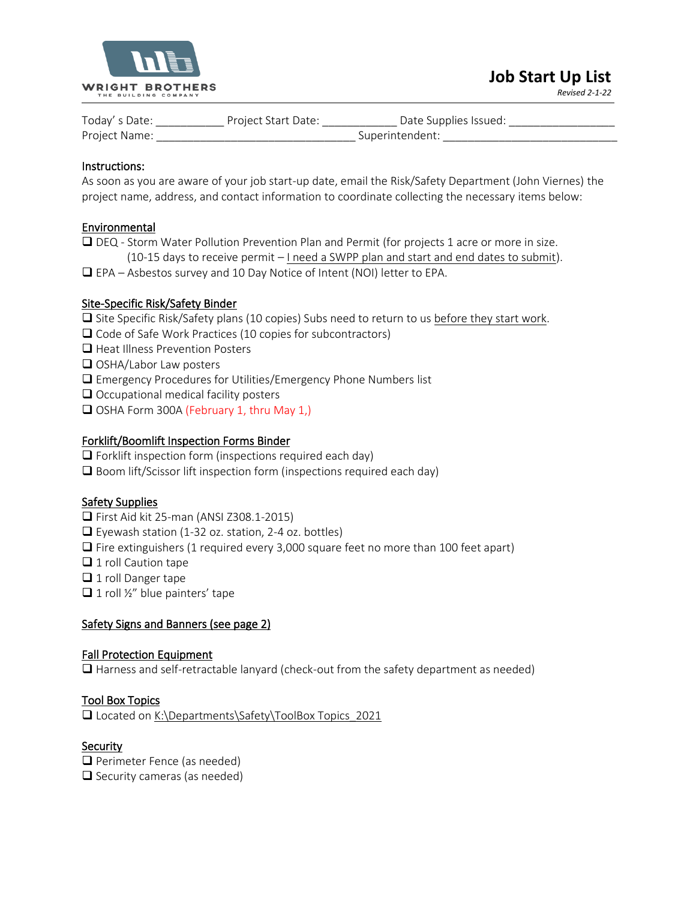

*Revised 2-1-22*

| Today's Date: | Project Start Date: | Date Supplies Issued: |
|---------------|---------------------|-----------------------|
| Project Name: |                     | Superintendent.       |

# Instructions:

As soon as you are aware of your job start-up date, email the Risk/Safety Department (John Viernes) the project name, address, and contact information to coordinate collecting the necessary items below:

# Environmental

- ❑ DEQ Storm Water Pollution Prevention Plan and Permit (for projects 1 acre or more in size.  $(10-15$  days to receive permit  $-$  I need a SWPP plan and start and end dates to submit).
- ❑ EPA Asbestos survey and 10 Day Notice of Intent (NOI) letter to EPA.

# Site-Specific Risk/Safety Binder

- ❑ Site Specific Risk/Safety plans (10 copies) Subs need to return to us before they start work.
- ❑ Code of Safe Work Practices (10 copies for subcontractors)
- ❑ Heat Illness Prevention Posters
- ❑ OSHA/Labor Law posters
- ❑ Emergency Procedures for Utilities/Emergency Phone Numbers list
- ❑ Occupational medical facility posters
- ❑ OSHA Form 300A (February 1, thru May 1,)

#### Forklift/Boomlift Inspection Forms Binder

- ❑ Forklift inspection form (inspections required each day)
- ❑ Boom lift/Scissor lift inspection form (inspections required each day)

# Safety Supplies

- ❑ First Aid kit 25-man (ANSI Z308.1-2015)
- ❑ Eyewash station (1-32 oz. station, 2-4 oz. bottles)
- ❑ Fire extinguishers (1 required every 3,000 square feet no more than 100 feet apart)
- ❑ 1 roll Caution tape
- ❑ 1 roll Danger tape
- $\Box$  1 roll ½" blue painters' tape

# Safety Signs and Banners (see page 2)

#### Fall Protection Equipment

❑ Harness and self-retractable lanyard (check-out from the safety department as needed)

# Tool Box Topics

❑ Located on K:\Departments\Safety\ToolBox Topics\_2021

# Security

❑ Perimeter Fence (as needed)

❑ Security cameras (as needed)